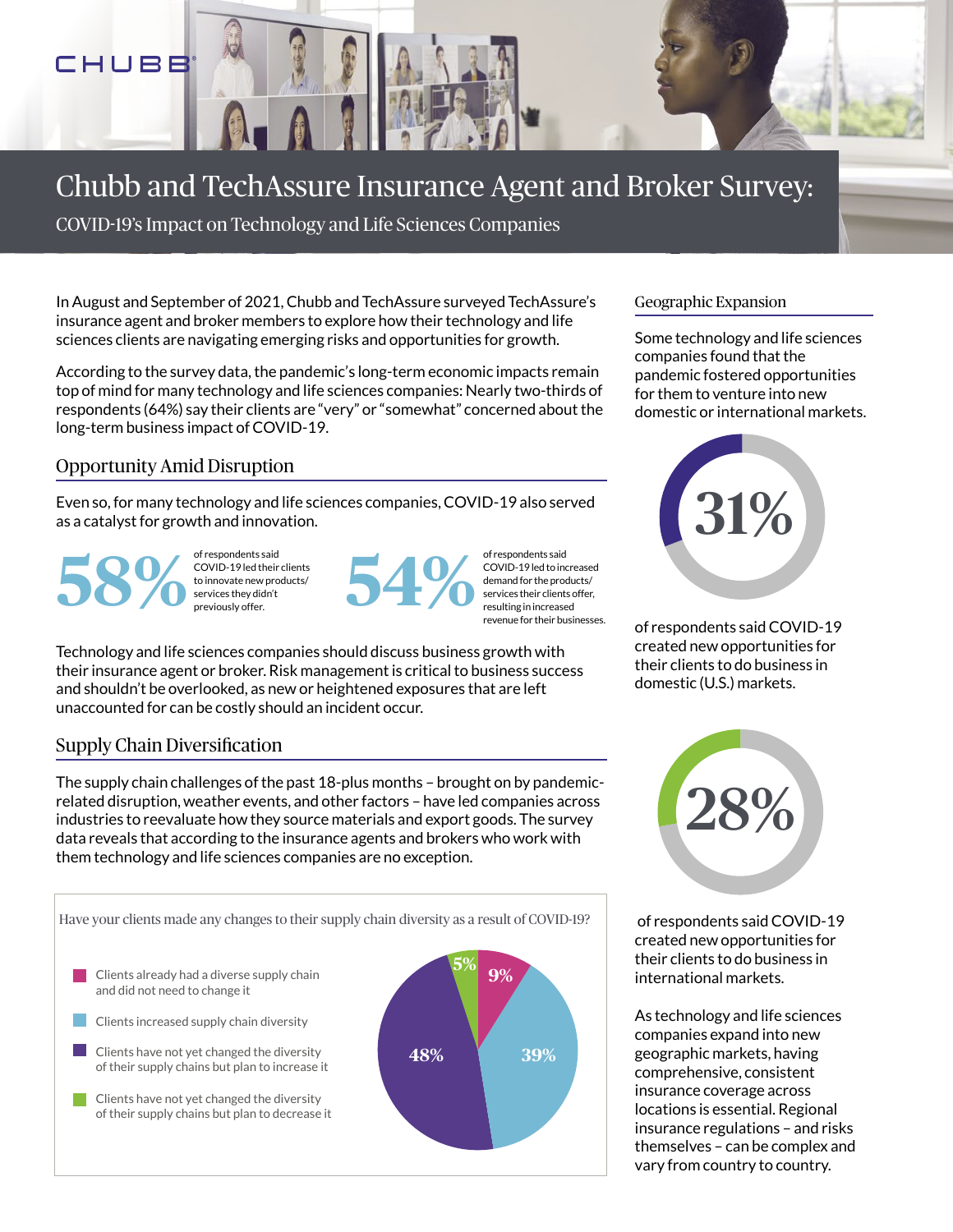## CHUBB

## Chubb and TechAssure Insurance Agent and Broker Survey:

COVID-19's Impact on Technology and Life Sciences Companies

In August and September of 2021, Chubb and TechAssure surveyed TechAssure's insurance agent and broker members to explore how their technology and life sciences clients are navigating emerging risks and opportunities for growth.

According to the survey data, the pandemic's long-term economic impacts remain top of mind for many technology and life sciences companies: Nearly two-thirds of respondents (64%) say their clients are "very" or "somewhat" concerned about the long-term business impact of COVID-19.

### Opportunity Amid Disruption

Even so, for many technology and life sciences companies, COVID-19 also served as a catalyst for growth and innovation.

of respondents said<br> **58%** COVID-19 led their<br>
to innovate new provident<br>
previously offer. COVID-19 led their clients to innovate new products/ services they didn't



COVID-19 led to increased demand for the products/ services their clients offer, resulting in increased revenue for their businesses.

Technology and life sciences companies should discuss business growth with their insurance agent or broker. Risk management is critical to business success and shouldn't be overlooked, as new or heightened exposures that are left unaccounted for can be costly should an incident occur.

### Supply Chain Diversification

The supply chain challenges of the past 18-plus months – brought on by pandemicrelated disruption, weather events, and other factors – have led companies across industries to reevaluate how they source materials and export goods. The survey data reveals that according to the insurance agents and brokers who work with them technology and life sciences companies are no exception.



#### Geographic Expansion

Some technology and life sciences companies found that the pandemic fostered opportunities for them to venture into new domestic or international markets.



of respondents said COVID-19 created new opportunities for their clients to do business in domestic (U.S.) markets.



 of respondents said COVID-19 created new opportunities for their clients to do business in international markets.

As technology and life sciences companies expand into new geographic markets, having comprehensive, consistent insurance coverage across locations is essential. Regional insurance regulations – and risks themselves – can be complex and vary from country to country.